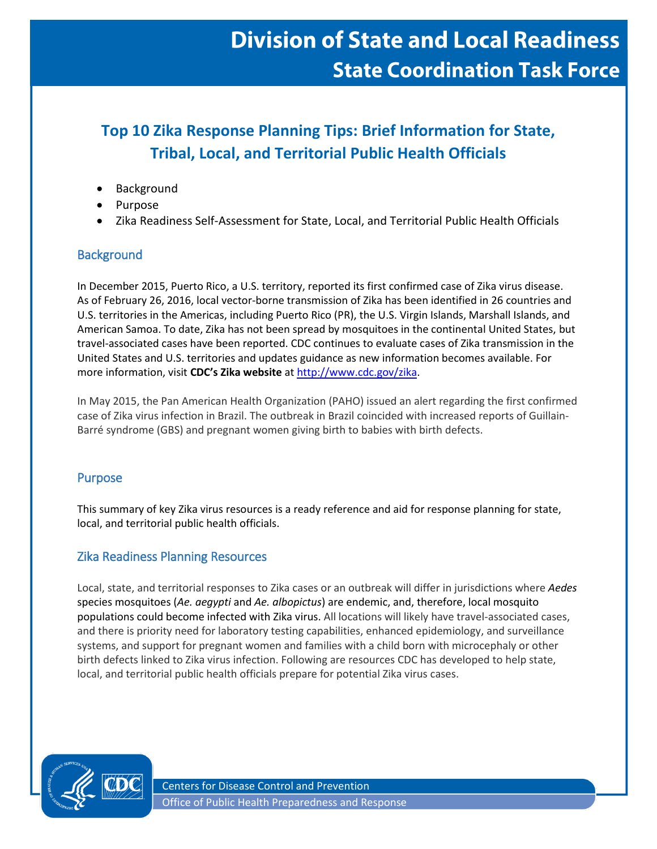# **Division of State and Local Readiness State Coordination Task Force**

# **Top 10 Zika Response Planning Tips: Brief Information for State, Tribal, Local, and Territorial Public Health Officials**

- Background
- **Purpose**
- Zika Readiness Self-Assessment for State, Local, and Territorial Public Health Officials

# **Background**

In December 2015, Puerto Rico, a U.S. territory, reported its first confirmed case of Zika virus disease. As of February 26, 2016, local vector-borne transmission of Zika has been identified in 26 countries and U.S. territories in the Americas, including Puerto Rico (PR), the U.S. Virgin Islands, Marshall Islands, and American Samoa. To date, Zika has not been spread by mosquitoes in the continental United States, but travel-associated cases have been reported. CDC continues to evaluate cases of Zika transmission in the United States and U.S. territories and updates guidance as new information becomes available. For more information, visit **CDC's Zika website** a[t http://www.cdc.gov/zika.](http://www.cdc.gov/zika)

In May 2015, the Pan American Health Organization (PAHO) issued an alert regarding the first confirmed case of Zika virus infection in Brazil. The outbreak in Brazil coincided with increased reports of Guillain-Barré syndrome (GBS) and pregnant women giving birth to babies with birth defects.

# Purpose

This summary of key Zika virus resources is a ready reference and aid for response planning for state, local, and territorial public health officials.

# Zika Readiness Planning Resources

Local, state, and territorial responses to Zika cases or an outbreak will differ in jurisdictions where *Aedes* species mosquitoes (*Ae. aegypti* and *Ae. albopictus*) are endemic, and, therefore, local mosquito populations could become infected with Zika virus. All locations will likely have travel-associated cases, and there is priority need for laboratory testing capabilities, enhanced epidemiology, and surveillance systems, and support for pregnant women and families with a child born with microcephaly or other birth defects linked to Zika virus infection. Following are resources CDC has developed to help state, local, and territorial public health officials prepare for potential Zika virus cases.

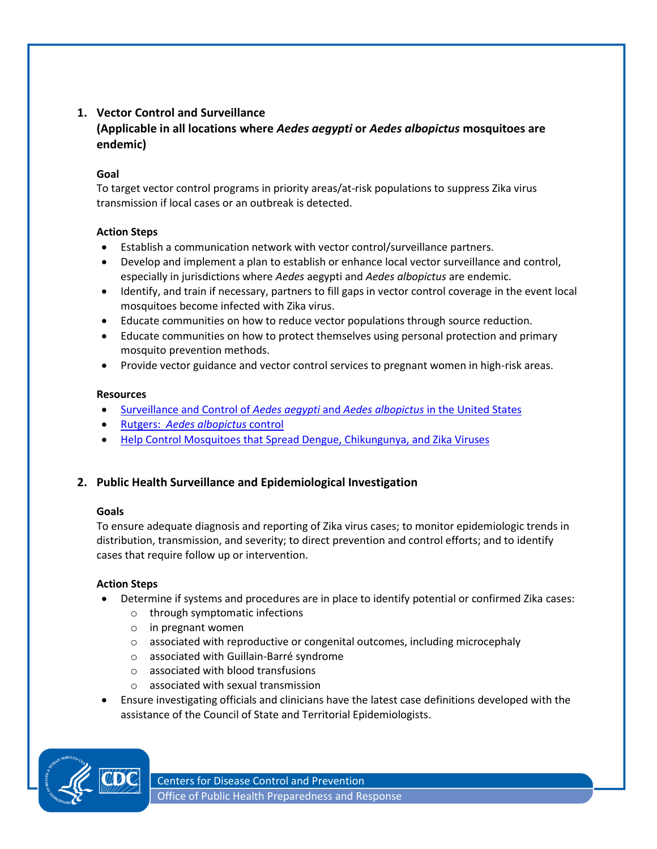# **1. Vector Control and Surveillance (Applicable in all locations where** *Aedes aegypti* **or** *Aedes albopictus* **mosquitoes are endemic)**

#### **Goal**

To target vector control programs in priority areas/at-risk populations to suppress Zika virus transmission if local cases or an outbreak is detected.

#### **Action Steps**

- Establish a communication network with vector control/surveillance partners.
- Develop and implement a plan to establish or enhance local vector surveillance and control, especially in jurisdictions where *Aedes* aegypti and *Aedes albopictus* are endemic.
- Identify, and train if necessary, partners to fill gaps in vector control coverage in the event local mosquitoes become infected with Zika virus.
- Educate communities on how to reduce vector populations through source reduction.
- Educate communities on how to protect themselves using personal protection and primary mosquito prevention methods.
- Provide vector guidance and vector control services to pregnant women in high-risk areas.

#### **Resources**

- [Surveillance and Control of](http://www.cdc.gov/chikungunya/resources/vector-control.html) *Aedes aegypti* and *Aedes albopictus* in the United States
- Rutgers: *[Aedes albopictus](http://asiantigermosquito.rutgers.edu/)* control
- Help Control Mosquitoes [that Spread Dengue, Chikungunya, and Zika Viruses](http://www.cdc.gov/dengue/resources/factSheets/Control_Mosquitoes_CHIKV_DENV_ZIKA.pdf)

# **2. Public Health Surveillance and Epidemiological Investigation**

#### **Goals**

To ensure adequate diagnosis and reporting of Zika virus cases; to monitor epidemiologic trends in distribution, transmission, and severity; to direct prevention and control efforts; and to identify cases that require follow up or intervention.

# **Action Steps**

- Determine if systems and procedures are in place to identify potential or confirmed Zika cases:
	- o through symptomatic infections
	- o in pregnant women
	- o associated with reproductive or congenital outcomes, including microcephaly
	- o associated with Guillain-Barré syndrome
	- o associated with blood transfusions
	- o associated with sexual transmission
- Ensure investigating officials and clinicians have the latest case definitions developed with the assistance of the Council of State and Territorial Epidemiologists.

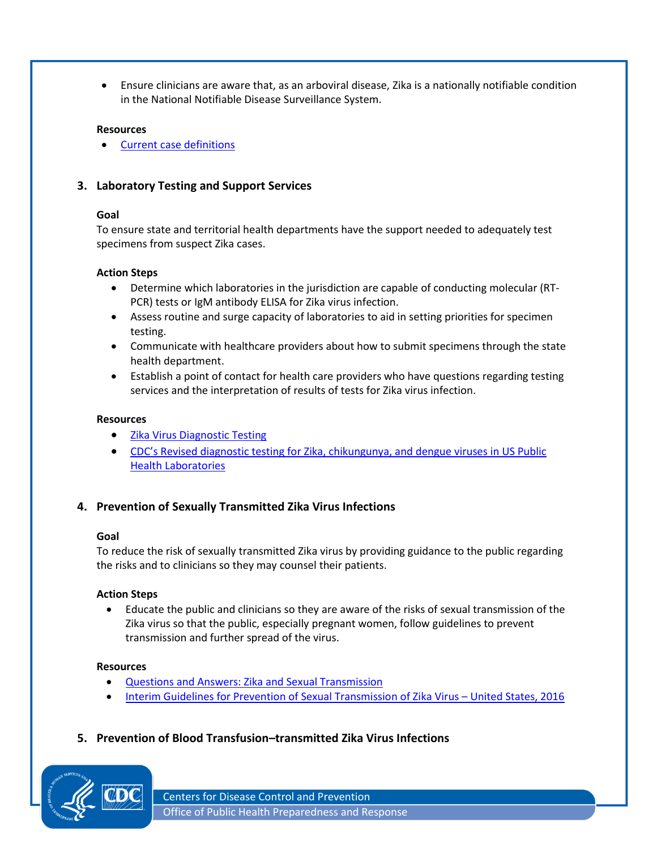Ensure clinicians are aware that, as an arboviral disease, Zika is a nationally notifiable condition in the National Notifiable Disease Surveillance System.

#### **Resources**

• [Current case definitions](http://wwwn.cdc.gov/nndss/conditions/arboviral-diseases-neuroinvasive-and-non-neuroinvasive/case-definition/2015/)

# **3. Laboratory Testing and Support Services**

#### **Goal**

To ensure state and territorial health departments have the support needed to adequately test specimens from suspect Zika cases.

#### **Action Steps**

- Determine which laboratories in the jurisdiction are capable of conducting molecular (RT-PCR) tests or IgM antibody ELISA for Zika virus infection.
- Assess routine and surge capacity of laboratories to aid in setting priorities for specimen testing.
- Communicate with healthcare providers about how to submit specimens through the state health department.
- Establish a point of contact for health care providers who have questions regarding testing services and the interpretation of results of tests for Zika virus infection.

#### **Resources**

- [Zika Virus Diagnostic Testing](http://www.cdc.gov/zika/hc-providers/diagnostic.html)
- CDC's [Revised diagnostic testing for Zika, chikungunya, and dengue viruses in US Public](http://www.cdc.gov/zika/pdfs/denvchikvzikv-testing-algorithm.pdf)  [Health Laboratories](http://www.cdc.gov/zika/pdfs/denvchikvzikv-testing-algorithm.pdf)

# **4. Prevention of Sexually Transmitted Zika Virus Infections**

#### **Goal**

To reduce the risk of sexually transmitted Zika virus by providing guidance to the public regarding the risks and to clinicians so they may counsel their patients.

#### **Action Steps**

 Educate the public and clinicians so they are aware of the risks of sexual transmission of the Zika virus so that the public, especially pregnant women, follow guidelines to prevent transmission and further spread of the virus.

#### **Resources**

- [Questions and Answers: Zika and Sexual Transmission](http://www.cdc.gov/zika/hc-providers/qa-sexual-transmission.html)
- [Interim Guidelines for Prevention of Sexual Transmission of Zika Virus](http://www.cdc.gov/mmwr/volumes/65/wr/mm6505e1er.htm?s_cid=mm6505e1er_w.htm)  United States, 2016
- **5. Prevention of Blood Transfusion–transmitted Zika Virus Infections**



Centers for Disease Control and Prevention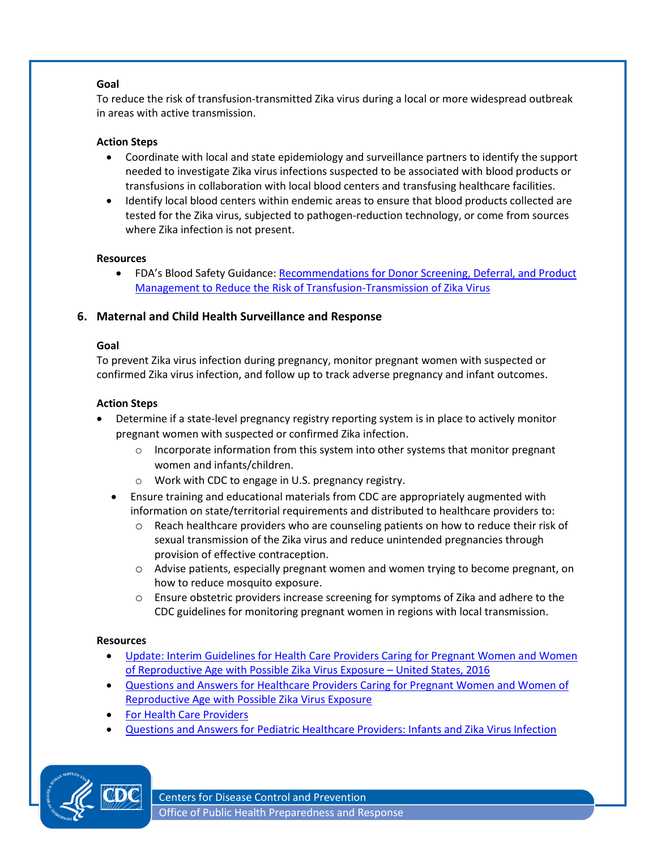#### **Goal**

To reduce the risk of transfusion-transmitted Zika virus during a local or more widespread outbreak in areas with active transmission.

#### **Action Steps**

- Coordinate with local and state epidemiology and surveillance partners to identify the support needed to investigate Zika virus infections suspected to be associated with blood products or transfusions in collaboration with local blood centers and transfusing healthcare facilities.
- Identify local blood centers within endemic areas to ensure that blood products collected are tested for the Zika virus, subjected to pathogen-reduction technology, or come from sources where Zika infection is not present.

#### **Resources**

• FDA's Blood Safety Guidance: Recommendations for Donor Screening, Deferral, and Product [Management to Reduce the Risk of Transfusion-Transmission of Zika Virus](http://www.fda.gov/downloads/BiologicsBloodVaccines/GuidanceComplianceRegulatoryInformation/Guidances/Blood/UCM486360.pdf)

# **6. Maternal and Child Health Surveillance and Response**

#### **Goal**

To prevent Zika virus infection during pregnancy, monitor pregnant women with suspected or confirmed Zika virus infection, and follow up to track adverse pregnancy and infant outcomes.

#### **Action Steps**

- Determine if a state-level pregnancy registry reporting system is in place to actively monitor pregnant women with suspected or confirmed Zika infection.
	- $\circ$  Incorporate information from this system into other systems that monitor pregnant women and infants/children.
	- o Work with CDC to engage in U.S. pregnancy registry.
	- Ensure training and educational materials from CDC are appropriately augmented with information on state/territorial requirements and distributed to healthcare providers to:
		- o Reach healthcare providers who are counseling patients on how to reduce their risk of sexual transmission of the Zika virus and reduce unintended pregnancies through provision of effective contraception.
		- o Advise patients, especially pregnant women and women trying to become pregnant, on how to reduce mosquito exposure.
		- o Ensure obstetric providers increase screening for symptoms of Zika and adhere to the CDC guidelines for monitoring pregnant women in regions with local transmission.

#### **Resources**

- [Update: Interim Guidelines for Health Care Providers Caring for Pregnant Women and Women](http://www.cdc.gov/mmwr/volumes/65/wr/mm6505e2er.htm?s_cid=mm6505e2er.htm_whttp://www.cdc.gov/mmwr/volumes/65/wr/mm6505e2er.htm?s_cid=mm6505e2er.htm_w)  [of Reproductive Age with Possible Zika Virus Exposure](http://www.cdc.gov/mmwr/volumes/65/wr/mm6505e2er.htm?s_cid=mm6505e2er.htm_whttp://www.cdc.gov/mmwr/volumes/65/wr/mm6505e2er.htm?s_cid=mm6505e2er.htm_w) – United States, 2016
- [Questions and Answers for Healthcare Providers Caring for Pregnant Women and Women of](file:///C:/Users/fvi8/AppData/Local/Microsoft/Windows/INetCache/Content.Outlook/B26S413M/Questions%20and%20Answers%20for%20Healthcare%20Providers%20Caring%20for%20Pregnant%20Women%20and%20Women%20of%20Reproductive%20Age%20with%20Possible%20Zika%20Virus%20Exposure(http:/www.cdc.gov/zika/hc-providers/qa-pregnant-women.html))  [Reproductive Age with Possible Zika Virus Exposure](file:///C:/Users/fvi8/AppData/Local/Microsoft/Windows/INetCache/Content.Outlook/B26S413M/Questions%20and%20Answers%20for%20Healthcare%20Providers%20Caring%20for%20Pregnant%20Women%20and%20Women%20of%20Reproductive%20Age%20with%20Possible%20Zika%20Virus%20Exposure(http:/www.cdc.gov/zika/hc-providers/qa-pregnant-women.html))
- **[For Health Care Providers](http://www.cdc.gov/zika/hc-providers/index.html)**
- [Questions and Answers for Pediatric Healthcare Providers: Infants and Zika Virus Infection](http://www.cdc.gov/zika/hc-providers/qa-pediatrician.html)



Centers for Disease Control and Prevention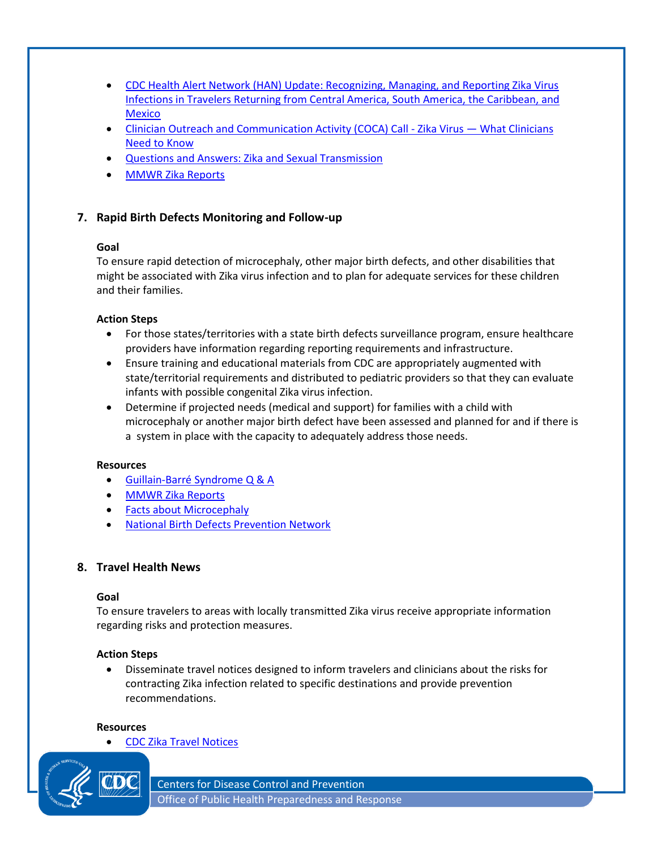- [CDC Health Alert Network \(HAN\) Update: Recognizing, Managing, and Reporting Zika Virus](http://emergency.cdc.gov/han/han00385.asp)  [Infections in Travelers Returning from Central America, South America, the Caribbean, and](http://emergency.cdc.gov/han/han00385.asp)  **[Mexico](http://emergency.cdc.gov/han/han00385.asp)**
- **Clinician Outreach and [Communication Activity \(COCA\) Call -](http://emergency.cdc.gov/coca/calls/2016/callinfo_012616.asp) Zika Virus What Clinicians** [Need to Know](http://emergency.cdc.gov/coca/calls/2016/callinfo_012616.asp)
- [Questions and Answers: Zika and Sexual Transmission](http://www.cdc.gov/zika/hc-providers/qa-sexual-transmission.html)
- [MMWR Zika Reports](http://www.cdc.gov/mmwr/zika_reports.html)

# **7. Rapid Birth Defects Monitoring and Follow-up**

#### **Goal**

To ensure rapid detection of microcephaly, other major birth defects, and other disabilities that might be associated with Zika virus infection and to plan for adequate services for these children and their families.

#### **Action Steps**

- For those states/territories with a state birth defects surveillance program, ensure healthcare providers have information regarding reporting requirements and infrastructure.
- Ensure training and educational materials from CDC are appropriately augmented with state/territorial requirements and distributed to pediatric providers so that they can evaluate infants with possible congenital Zika virus infection.
- Determine if projected needs (medical and support) for families with a child with microcephaly or another major birth defect have been assessed and planned for and if there is a system in place with the capacity to adequately address those needs.

#### **Resources**

- [Guillain-Barré Syndrome Q & A](http://www.cdc.gov/zika/qa/gbs-qa.html)
- [MMWR Zika Reports](http://www.cdc.gov/mmwr/zika_reports.html)
- [Facts about Microcephaly](http://www.cdc.gov/ncbddd/birthdefects/microcephaly.html)
- [National Birth Defects Prevention Network](http://www.nbdpn.org/)

# **8. Travel Health News**

#### **Goal**

To ensure travelers to areas with locally transmitted Zika virus receive appropriate information regarding risks and protection measures.

# **Action Steps**

 Disseminate travel notices designed to inform travelers and clinicians about the risks for contracting Zika infection related to specific destinations and provide prevention recommendations.

#### **Resources**

[CDC Zika Travel Notices](http://wwwnc.cdc.gov/travel/page/zika-travel-information)



Centers for Disease Control and Prevention Office of Public Health Preparedness and Response